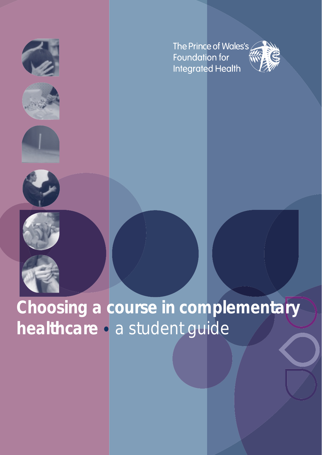





The Prince of Wales's Foundation for **Integrated Health** 



**Choosing a course in complementary healthcare** • a student guide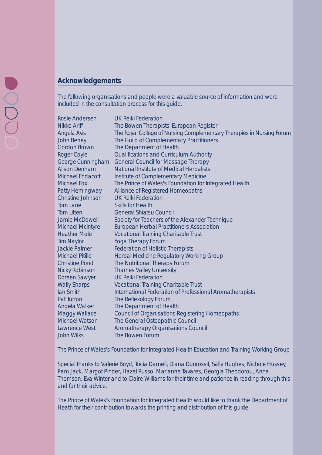# **Acknowledgements**

The following organisations and people were a valuable source of information and were included in the consultation process for this guide.

Rosie Andersen UK Reiki Federation Nikke Ariff The Bowen Therapists' European Register Angela Avis The Royal College of Nursing Complementary Therapies in Nursing Forum John Beney The Guild of Complementary Practitioners Gordon Brown The Department of Health Roger Coyle Qualifications and Curriculum Authority George Cunningham General Council for Massage Therapy Alison Denham National Institute of Medical Herbalists Michael Endacott Institute of Complementary Medicine Michael Fox The Prince of Wales's Foundation for Integrated Health Patty Hemingway Alliance of Registered Homeopaths Christine Johnson UK Reiki Federation Tom Lane Skills for Health Tom Litten General Shiatsu Council Jamie McDowell Society for Teachers of the Alexander Technique Michael McIntyre European Herbal Practitioners Association Heather Mole Vocational Training Charitable Trust Tim Naylor Yoga Therapy Forum Jackie Palmer Federation of Holistic Therapists Michael Pitillo Herbal Medicine Regulatory Working Group Christine Pond The Nutritional Therapy Forum Nicky Robinson Thames Valley University Doreen Sawyer UK Reiki Federation Wally Sharps **Vocational Training Charitable Trust** Ian Smith International Federation of Professional Aromatherapists Pat Turton The Reflexology Forum Angela Walker The Department of Health Maggy Wallace Council of Organisations Registering Homeopaths Michael Watson The General Osteopathic Council Lawrence West Aromatherapy Organisations Council John Wilks The Bowen Forum

The Prince of Wales's Foundation for Integrated Health Education and Training Working Group

Special thanks to Valerie Boyd, Tricia Darnell, Diana Dunrossil, Sally Hughes, Nichole Hussey, Pam Jack, Margot Pinder, Hazel Russo, Marianne Tavares, Georgia Theodorou, Anna Thomson, Eva Winter and to Claire Williams for their time and patience in reading through this and for their advice.

The Prince of Wales's Foundation for Integrated Health would like to thank the Department of Heath for their contribution towards the printing and distribution of this guide.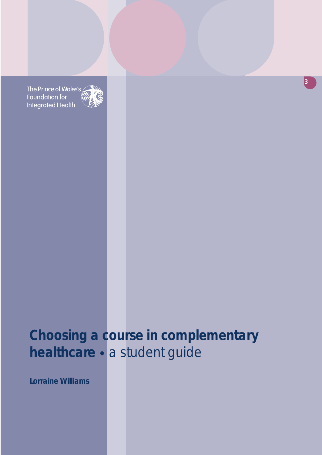The Prince of Wales's Foundation for **Integrated Health** 



# **Choosing a course in complementary healthcare** • a student guide

**Lorraine Williams**

**3**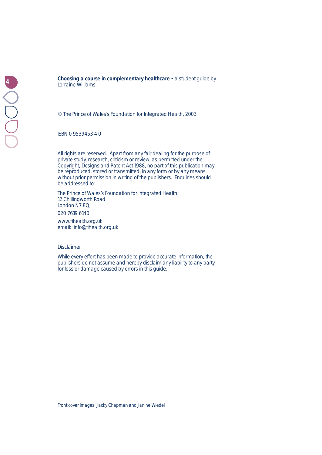**Choosing a course in complementary healthcare** • a student guide by Lorraine Williams

© The Prince of Wales's Foundation for Integrated Health, 2003

ISBN 0 9539453 4 0

All rights are reserved. Apart from any fair dealing for the purpose of private study, research, criticism or review, as permitted under the Copyright, Designs and Patent Act 1988, no part of this publication may be reproduced, stored or transmitted, in any form or by any means, without prior permission in writing of the publishers. Enquiries should be addressed to:

The Prince of Wales's Foundation for Integrated Health 12 Chillingworth Road London N7 8QJ 020 7619 6140

www.fihealth.org.uk email: info@fihealth.org.uk

#### Disclaimer

While every effort has been made to provide accurate information, the publishers do not assume and hereby disclaim any liability to any party for loss or damage caused by errors in this guide.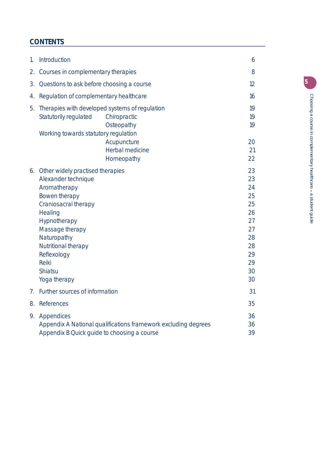# **CONTENTS**

| 1. | Introduction                                                                                                                                                                                                                                               |                                                                                  |  |
|----|------------------------------------------------------------------------------------------------------------------------------------------------------------------------------------------------------------------------------------------------------------|----------------------------------------------------------------------------------|--|
| 2. | Courses in complementary therapies                                                                                                                                                                                                                         |                                                                                  |  |
| 3. | Questions to ask before choosing a course                                                                                                                                                                                                                  |                                                                                  |  |
| 4. | Regulation of complementary healthcare                                                                                                                                                                                                                     |                                                                                  |  |
|    | 5. Therapies with developed systems of regulation<br>Statutorily regulated<br>Chiropractic<br>Osteopathy<br>Working towards statutory regulation<br>Acupuncture<br>Herbal medicine<br>Homeopathy                                                           | 19<br>19<br>19<br>20<br>21<br>22                                                 |  |
|    | 6. Other widely practised therapies<br>Alexander technique<br>Aromatherapy<br>Bowen therapy<br>Craniosacral therapy<br>Healing<br>Hypnotherapy<br>Massage therapy<br>Naturopathy<br>Nutritional therapy<br>Reflexology<br>Reiki<br>Shiatsu<br>Yoga therapy | 23<br>23<br>24<br>25<br>25<br>26<br>27<br>27<br>28<br>28<br>29<br>29<br>30<br>30 |  |
| 7. | Further sources of information                                                                                                                                                                                                                             | 31                                                                               |  |
|    | 8. References                                                                                                                                                                                                                                              | 35                                                                               |  |
| 9. | Appendices<br>Appendix A National qualifications framework excluding degrees<br>Appendix B Quick guide to choosing a course                                                                                                                                | 36<br>36<br>39                                                                   |  |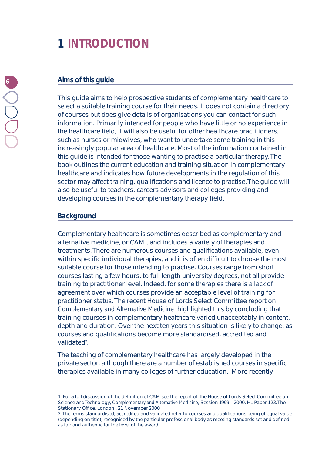# **1 INTRODUCTION**

# **Aims of this guide**

This guide aims to help prospective students of complementary healthcare to select a suitable training course for their needs. It does not contain a directory of courses but does give details of organisations you can contact for such information. Primarily intended for people who have little or no experience in the healthcare field, it will also be useful for other healthcare practitioners, such as nurses or midwives, who want to undertake some training in this increasingly popular area of healthcare. Most of the information contained in this guide is intended for those wanting to practise a particular therapy. The book outlines the current education and training situation in complementary healthcare and indicates how future developments in the regulation of this sector may affect training, qualifications and licence to practise. The guide will also be useful to teachers, careers advisors and colleges providing and developing courses in the complementary therapy field.

## **Background**

Complementary healthcare is sometimes described as complementary and alternative medicine, or CAM , and includes a variety of therapies and treatments. There are numerous courses and qualifications available, even within specific individual therapies, and it is often difficult to choose the most suitable course for those intending to practise. Courses range from short courses lasting a few hours, to full length university degrees; not all provide training to practitioner level. Indeed, for some therapies there is a lack of agreement over which courses provide an acceptable level of training for practitioner status. The recent House of Lords Select Committee report on *Complementary and Alternative Medicine*<sup>1</sup> highlighted this by concluding that training courses in complementary healthcare varied unacceptably in content, depth and duration. Over the next ten years this situation is likely to change, as courses and qualifications become more standardised, accredited and validated<sup>2</sup>.

The teaching of complementary healthcare has largely developed in the private sector, although there are a number of established courses in specific therapies available in many colleges of further education. More recently

<sup>1</sup> For a full discussion of the definition of CAM see the report of the House of Lords Select Committee on Science and Technology, *Complementary and Alternative Medicine*, Session 1999 – 2000, HL Paper 123. The Stationary Office, London:, 21 November 2000

<sup>2</sup> The terms standardised, accredited and validated refer to courses and qualifications being of equal value (depending on title), recognised by the particular professional body as meeting standards set and defined as fair and authentic for the level of the award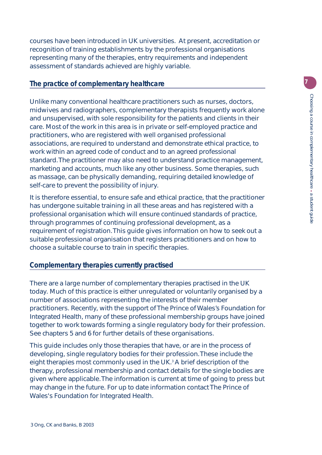courses have been introduced in UK universities. At present, accreditation or recognition of training establishments by the professional organisations representing many of the therapies, entry requirements and independent assessment of standards achieved are highly variable.

# **The practice of complementary healthcare**

Unlike many conventional healthcare practitioners such as nurses, doctors, midwives and radiographers, complementary therapists frequently work alone and unsupervised, with sole responsibility for the patients and clients in their care. Most of the work in this area is in private or self-employed practice and practitioners, who are registered with well organised professional associations, are required to understand and demonstrate ethical practice, to work within an agreed code of conduct and to an agreed professional standard. The practitioner may also need to understand practice management, marketing and accounts, much like any other business. Some therapies, such as massage, can be physically demanding, requiring detailed knowledge of self-care to prevent the possibility of injury.

It is therefore essential, to ensure safe and ethical practice, that the practitioner has undergone suitable training in all these areas and has registered with a professional organisation which will ensure continued standards of practice, through programmes of continuing professional development, as a requirement of registration. This guide gives information on how to seek out a suitable professional organisation that registers practitioners and on how to choose a suitable course to train in specific therapies.

# **Complementary therapies currently practised**

There are a large number of complementary therapies practised in the UK today. Much of this practice is either unregulated or voluntarily organised by a number of associations representing the interests of their member practitioners. Recently, with the support of The Prince of Wales's Foundation for Integrated Health, many of these professional membership groups have joined together to work towards forming a single regulatory body for their profession. See chapters 5 and 6 for further details of these organisations.

This guide includes only those therapies that have, or are in the process of developing, single regulatory bodies for their profession. These include the eight therapies most commonly used in the UK.<sup>3</sup> A brief description of the therapy, professional membership and contact details for the single bodies are given where applicable. The information is current at time of going to press but may change in the future. For up to date information contact The Prince of Wales's Foundation for Integrated Health.

**7**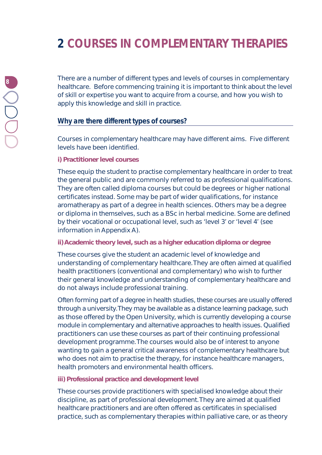# **2 COURSES IN COMPLEMENTARY THERAPIES**

There are a number of different types and levels of courses in complementary healthcare. Before commencing training it is important to think about the level of skill or expertise you want to acquire from a course, and how you wish to apply this knowledge and skill in practice.

# **Why are there different types of courses?**

Courses in complementary healthcare may have different aims. Five different levels have been identified.

#### **i) Practitioner level courses**

These equip the student to practise complementary healthcare in order to treat the general public and are commonly referred to as professional qualifications. They are often called diploma courses but could be degrees or higher national certificates instead. Some may be part of wider qualifications, for instance aromatherapy as part of a degree in health sciences. Others may be a degree or diploma in themselves, such as a BSc in herbal medicine. Some are defined by their vocational or occupational level, such as 'level 3' or 'level 4' (see information in Appendix A).

#### **ii) Academic theory level, such as a higher education diploma or degree**

These courses give the student an academic level of knowledge and understanding of complementary healthcare. They are often aimed at qualified health practitioners (conventional and complementary) who wish to further their general knowledge and understanding of complementary healthcare and do not always include professional training.

Often forming part of a degree in health studies, these courses are usually offered through a university. They may be available as a distance learning package, such as those offered by the Open University, which is currently developing a course module in complementary and alternative approaches to health issues. Qualified practitioners can use these courses as part of their continuing professional development programme. The courses would also be of interest to anyone wanting to gain a general critical awareness of complementary healthcare but who does not aim to practise the therapy, for instance healthcare managers, health promoters and environmental health officers.

**iii) Professional practice and development level**

These courses provide practitioners with specialised knowledge about their discipline, as part of professional development. They are aimed at qualified healthcare practitioners and are often offered as certificates in specialised practice, such as complementary therapies within palliative care, or as theory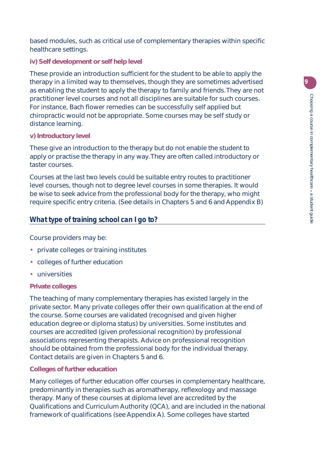Choosing a course in complementary healthcare Choosing a course in complementary healthcare · a student guide a student guide

**9**

based modules, such as critical use of complementary therapies within specific healthcare settings.

## **iv) Self development or self help level**

These provide an introduction sufficient for the student to be able to apply the therapy in a limited way to themselves, though they are sometimes advertised as enabling the student to apply the therapy to family and friends. They are not practitioner level courses and not all disciplines are suitable for such courses. For instance, Bach flower remedies can be successfully self applied but chiropractic would not be appropriate. Some courses may be self study or distance learning.

# **v) Introductory level**

These give an introduction to the therapy but do not enable the student to apply or practise the therapy in any way. They are often called introductory or taster courses.

Courses at the last two levels could be suitable entry routes to practitioner level courses, though not to degree level courses in some therapies. It would be wise to seek advice from the professional body for the therapy, who might require specific entry criteria. (See details in Chapters 5 and 6 and Appendix B)

# **What type of training school can I go to?**

Course providers may be:

- private colleges or training institutes
- colleges of further education
- universities

# **Private colleges**

The teaching of many complementary therapies has existed largely in the private sector. Many private colleges offer their own qualification at the end of the course. Some courses are validated (recognised and given higher education degree or diploma status) by universities. Some institutes and courses are accredited (given professional recognition) by professional associations representing therapists. Advice on professional recognition should be obtained from the professional body for the individual therapy. Contact details are given in Chapters 5 and 6.

## **Colleges of further education**

Many colleges of further education offer courses in complementary healthcare, predominantly in therapies such as aromatherapy, reflexology and massage therapy. Many of these courses at diploma level are accredited by the Qualifications and Curriculum Authority (QCA), and are included in the national framework of qualifications (see Appendix A). Some colleges have started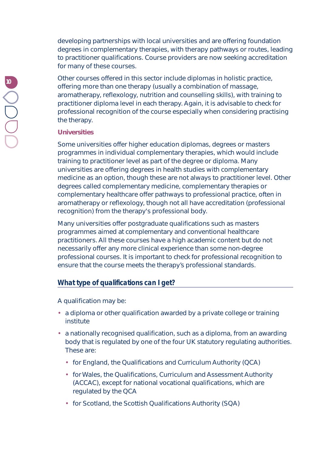developing partnerships with local universities and are offering foundation degrees in complementary therapies, with therapy pathways or routes, leading to practitioner qualifications. Course providers are now seeking accreditation for many of these courses.

Other courses offered in this sector include diplomas in holistic practice, offering more than one therapy (usually a combination of massage, aromatherapy, reflexology, nutrition and counselling skills), with training to practitioner diploma level in each therapy. Again, it is advisable to check for professional recognition of the course especially when considering practising the therapy.

## **Universities**

Some universities offer higher education diplomas, degrees or masters programmes in individual complementary therapies, which would include training to practitioner level as part of the degree or diploma. Many universities are offering degrees in health studies with complementary medicine as an option, though these are not always to practitioner level. Other degrees called complementary medicine, complementary therapies or complementary healthcare offer pathways to professional practice, often in aromatherapy or reflexology, though not all have accreditation (professional recognition) from the therapy's professional body.

Many universities offer postgraduate qualifications such as masters programmes aimed at complementary and conventional healthcare practitioners. All these courses have a high academic content but do not necessarily offer any more clinical experience than some non-degree professional courses. It is important to check for professional recognition to ensure that the course meets the therapy's professional standards.

# **What type of qualifications can I get?**

A qualification may be:

- a diploma or other qualification awarded by a private college or training institute
- a nationally recognised qualification, such as a diploma, from an awarding body that is regulated by one of the four UK statutory regulating authorities. These are:
	- for England, the Qualifications and Curriculum Authority (QCA)
	- for Wales, the Qualifications, Curriculum and Assessment Authority (ACCAC), except for national vocational qualifications, which are regulated by the QCA
	- for Scotland, the Scottish Qualifications Authority (SQA)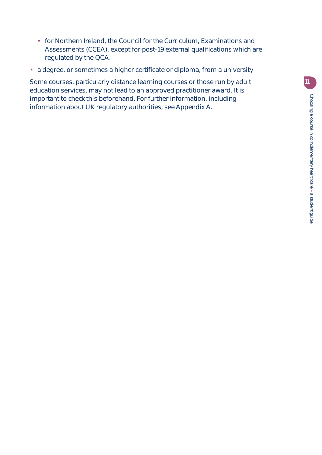- for Northern Ireland, the Council for the Curriculum, Examinations and Assessments (CCEA), except for post-19 external qualifications which are regulated by the QCA.
- a degree, or sometimes a higher certificate or diploma, from a university

Some courses, particularly distance learning courses or those run by adult education services, may not lead to an approved practitioner award. It is important to check this beforehand. For further information, including information about UK regulatory authorities, see Appendix A.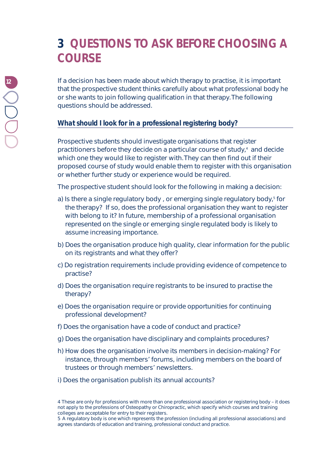# **3 QUESTIONS TO ASK BEFORE CHOOSING A COURSE**

If a decision has been made about which therapy to practise, it is important that the prospective student thinks carefully about what professional body he or she wants to join following qualification in that therapy. The following questions should be addressed.

# **What should I look for in a professional registering body?**

Prospective students should investigate organisations that register practitioners before they decide on a particular course of study, $4$  and decide which one they would like to register with. They can then find out if their proposed course of study would enable them to register with this organisation or whether further study or experience would be required.

The prospective student should look for the following in making a decision:

- a) Is there a single regulatory body, or emerging single regulatory body, $5$  for the therapy? If so, does the professional organisation they want to register with belong to it? In future, membership of a professional organisation represented on the single or emerging single regulated body is likely to assume increasing importance.
- b) Does the organisation produce high quality, clear information for the public on its registrants and what they offer?
- c) Do registration requirements include providing evidence of competence to practise?
- d) Does the organisation require registrants to be insured to practise the therapy?
- e) Does the organisation require or provide opportunities for continuing professional development?
- f) Does the organisation have a code of conduct and practice?
- g) Does the organisation have disciplinary and complaints procedures?
- h) How does the organisation involve its members in decision-making? For instance, through members' forums, including members on the board of trustees or through members' newsletters.
- i) Does the organisation publish its annual accounts?

5 A regulatory body is one which represents the profession (including all professional associations) and agrees standards of education and training, professional conduct and practice.

<sup>4</sup> These are only for professions with more than one professional association or registering body – it does not apply to the professions of Osteopathy or Chiropractic, which specify which courses and training colleges are acceptable for entry to their registers.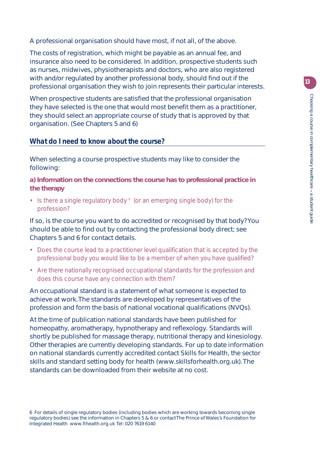A professional organisation should have most, if not all, of the above.

The costs of registration, which might be payable as an annual fee, and insurance also need to be considered. In addition, prospective students such as nurses, midwives, physiotherapists and doctors, who are also registered with and/or regulated by another professional body, should find out if the professional organisation they wish to join represents their particular interests.

When prospective students are satisfied that the professional organisation they have selected is the one that would most benefit them as a practitioner, they should select an appropriate course of study that is approved by that organisation. (See Chapters 5 and 6)

# **What do I need to know about the course?**

When selecting a course prospective students may like to consider the following:

**a) Information on the connections the course has to professional practice in the therapy**

*• Is there a single regulatory body <sup>6</sup> (or an emerging single body) for the profession?* 

If so, is the course you want to do accredited or recognised by that body? You should be able to find out by contacting the professional body direct; see Chapters 5 and 6 for contact details.

- *Does the course lead to a practitioner level qualification that is accepted by the professional body you would like to be a member of when you have qualified?*
- *Are there nationally recognised occupational standards for the profession and does this course have any connection with them?*

An occupational standard is a statement of what someone is expected to achieve at work. The standards are developed by representatives of the profession and form the basis of national vocational qualifications (NVQs).

At the time of publication national standards have been published for homeopathy, aromatherapy, hypnotherapy and reflexology. Standards will shortly be published for massage therapy, nutritional therapy and kinesiology. Other therapies are currently developing standards. For up to date information on national standards currently accredited contact Skills for Health, the sector skills and standard setting body for health (www.skillsforhealth.org.uk). The standards can be downloaded from their website at no cost.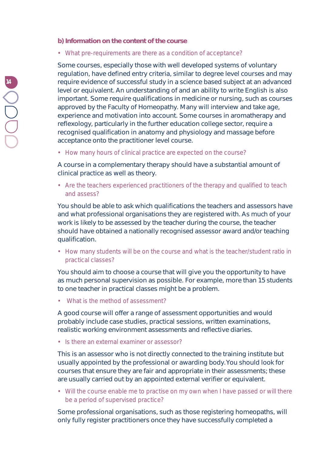#### **b) Information on the content of the course**

*• What pre-requirements are there as a condition of acceptance?* 

Some courses, especially those with well developed systems of voluntary regulation, have defined entry criteria, similar to degree level courses and may require evidence of successful study in a science based subject at an advanced level or equivalent. An understanding of and an ability to write English is also important. Some require qualifications in medicine or nursing, such as courses approved by the Faculty of Homeopathy. Many will interview and take age, experience and motivation into account. Some courses in aromatherapy and reflexology, particularly in the further education college sector, require a recognised qualification in anatomy and physiology and massage before acceptance onto the practitioner level course.

*• How many hours of clinical practice are expected on the course?* 

A course in a complementary therapy should have a substantial amount of clinical practice as well as theory.

*• Are the teachers experienced practitioners of the therapy and qualified to teach and assess?* 

You should be able to ask which qualifications the teachers and assessors have and what professional organisations they are registered with. As much of your work is likely to be assessed by the teacher during the course, the teacher should have obtained a nationally recognised assessor award and/or teaching qualification.

*• How many students will be on the course and what is the teacher/student ratio in practical classes?* 

You should aim to choose a course that will give you the opportunity to have as much personal supervision as possible. For example, more than 15 students to one teacher in practical classes might be a problem.

*• What is the method of assessment?* 

A good course will offer a range of assessment opportunities and would probably include case studies, practical sessions, written examinations, realistic working environment assessments and reflective diaries.

*• Is there an external examiner or assessor?* 

This is an assessor who is not directly connected to the training institute but usually appointed by the professional or awarding body. You should look for courses that ensure they are fair and appropriate in their assessments; these are usually carried out by an appointed external verifier or equivalent.

*• Will the course enable me to practise on my own when I have passed or will there be a period of supervised practice?* 

Some professional organisations, such as those registering homeopaths, will only fully register practitioners once they have successfully completed a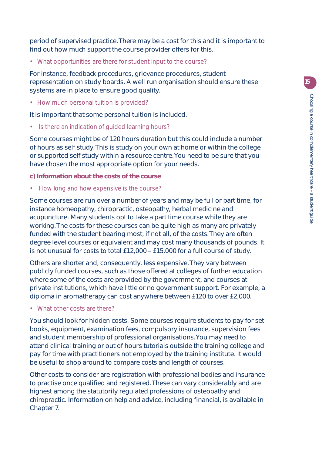period of supervised practice. There may be a cost for this and it is important to find out how much support the course provider offers for this.

*• What opportunities are there for student input to the course?* 

For instance, feedback procedures, grievance procedures, student representation on study boards. A well run organisation should ensure these systems are in place to ensure good quality.

*• How much personal tuition is provided?* 

It is important that some personal tuition is included.

*• Is there an indication of guided learning hours?* 

Some courses might be of 120 hours duration but this could include a number of hours as self study. This is study on your own at home or within the college or supported self study within a resource centre. You need to be sure that you have chosen the most appropriate option for your needs.

**c) Information about the costs of the course**

*• How long and how expensive is the course?* 

Some courses are run over a number of years and may be full or part time, for instance homeopathy, chiropractic, osteopathy, herbal medicine and acupuncture. Many students opt to take a part time course while they are working. The costs for these courses can be quite high as many are privately funded with the student bearing most, if not all, of the costs. They are often degree level courses or equivalent and may cost many thousands of pounds. It is not unusual for costs to total £12,000 – £15,000 for a full course of study.

Others are shorter and, consequently, less expensive. They vary between publicly funded courses, such as those offered at colleges of further education where some of the costs are provided by the government, and courses at private institutions, which have little or no government support. For example, a diploma in aromatherapy can cost anywhere between £120 to over £2,000.

*• What other costs are there?* 

You should look for hidden costs. Some courses require students to pay for set books, equipment, examination fees, compulsory insurance, supervision fees and student membership of professional organisations. You may need to attend clinical training or out of hours tutorials outside the training college and pay for time with practitioners not employed by the training institute. It would be useful to shop around to compare costs and length of courses.

Other costs to consider are registration with professional bodies and insurance to practise once qualified and registered. These can vary considerably and are highest among the statutorily regulated professions of osteopathy and chiropractic. Information on help and advice, including financial, is available in Chapter 7.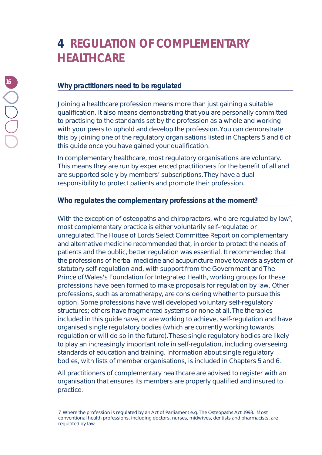# **4 REGULATION OF COMPLEMENTARY HEALTHCARE**

# **Why practitioners need to be regulated**

Joining a healthcare profession means more than just gaining a suitable qualification. It also means demonstrating that you are personally committed to practising to the standards set by the profession as a whole and working with your peers to uphold and develop the profession. You can demonstrate this by joining one of the regulatory organisations listed in Chapters 5 and 6 of this guide once you have gained your qualification.

In complementary healthcare, most regulatory organisations are voluntary. This means they are run by experienced practitioners for the benefit of all and are supported solely by members' subscriptions. They have a dual responsibility to protect patients and promote their profession.

# **Who regulates the complementary professions at the moment?**

With the exception of osteopaths and chiropractors, who are regulated by law', most complementary practice is either voluntarily self-regulated or unregulated. The House of Lords Select Committee Report on complementary and alternative medicine recommended that, in order to protect the needs of patients and the public, better regulation was essential. It recommended that the professions of herbal medicine and acupuncture move towards a system of statutory self-regulation and, with support from the Government andThe Prince of Wales's Foundation for Integrated Health, working groups for these professions have been formed to make proposals for regulation by law. Other professions, such as aromatherapy, are considering whether to pursue this option. Some professions have well developed voluntary self-regulatory structures; others have fragmented systems or none at all. The therapies included in this guide have, or are working to achieve, self-regulation and have organised single regulatory bodies (which are currently working towards regulation or will do so in the future). These single regulatory bodies are likely to play an increasingly important role in self-regulation, including overseeing standards of education and training. Information about single regulatory bodies, with lists of member organisations, is included in Chapters 5 and 6.

All practitioners of complementary healthcare are advised to register with an organisation that ensures its members are properly qualified and insured to practice.

7 Where the profession is regulated by an Act of Parliament e.g. The Osteopaths Act 1993. Most conventional health professions, including doctors, nurses, midwives, dentists and pharmacists, are regulated by law.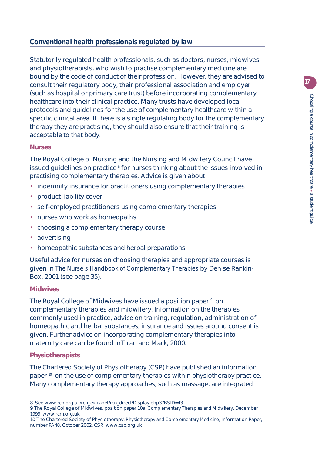# **Conventional health professionals regulated by law**

Statutorily regulated health professionals, such as doctors, nurses, midwives and physiotherapists, who wish to practise complementary medicine are bound by the code of conduct of their profession. However, they are advised to consult their regulatory body, their professional association and employer (such as hospital or primary care trust) before incorporating complementary healthcare into their clinical practice. Many trusts have developed local protocols and guidelines for the use of complementary healthcare within a specific clinical area. If there is a single regulating body for the complementary therapy they are practising, they should also ensure that their training is acceptable to that body.

#### **Nurses**

The Royal College of Nursing and the Nursing and Midwifery Council have issued quidelines on practice <sup>8</sup> for nurses thinking about the issues involved in practising complementary therapies. Advice is given about:

- indemnity insurance for practitioners using complementary therapies
- product liability cover
- self-employed practitioners using complementary therapies
- nurses who work as homeopaths
- choosing a complementary therapy course
- advertising
- homeopathic substances and herbal preparations

Useful advice for nurses on choosing therapies and appropriate courses is given in *The Nurse's Handbook of Complementary Therapies* by Denise Rankin-Box, 2001 (see page 35).

## **Midwives**

The Royal College of Midwives have issued a position paper  $9$  on complementary therapies and midwifery. Information on the therapies commonly used in practice, advice on training, regulation, administration of homeopathic and herbal substances, insurance and issues around consent is given. Further advice on incorporating complementary therapies into maternity care can be found in Tiran and Mack, 2000.

## **Physiotherapists**

The Chartered Society of Physiotherapy (CSP) have published an information paper <sup>10</sup> on the use of complementary therapies within physiotherapy practice. Many complementary therapy approaches, such as massage, are integrated

10 The Chartered Society of Physiotherapy, *Physiotherapy and Complementary Medicine*, Information Paper, number PA48, October 2002, CSP. www.csp.org.uk

<sup>8</sup> See www.rcn.org.uk/rcn\_extranet/rcn\_direct/Display.php3?BSID=43

<sup>9</sup> The Royal College of Midwives, position paper 10a, *Complementary Therapies and Midwifery*, December 1999 www.rcm.org.uk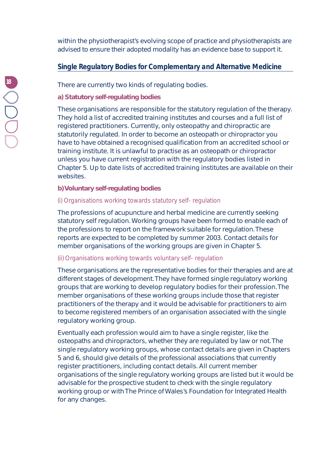within the physiotherapist's evolving scope of practice and physiotherapists are advised to ensure their adopted modality has an evidence base to support it.

# **Single Regulatory Bodies for Complementary and Alternative Medicine**

There are currently two kinds of regulating bodies.

# **a) Statutory self-regulating bodies**

These organisations are responsible for the statutory regulation of the therapy. They hold a list of accredited training institutes and courses and a full list of registered practitioners. Currently, only osteopathy and chiropractic are statutorily regulated. In order to become an osteopath or chiropractor you have to have obtained a recognised qualification from an accredited school or training institute. It is unlawful to practise as an osteopath or chiropractor unless you have current registration with the regulatory bodies listed in Chapter 5. Up to date lists of accredited training institutes are available on their websites.

**b) Voluntary self-regulating bodies**

## *(i) Organisations working towards statutory self- regulation*

The professions of acupuncture and herbal medicine are currently seeking statutory self regulation. Working groups have been formed to enable each of the professions to report on the framework suitable for regulation. These reports are expected to be completed by summer 2003. Contact details for member organisations of the working groups are given in Chapter 5.

## *(ii) Organisations working towards voluntary self- regulation*

These organisations are the representative bodies for their therapies and are at different stages of development. They have formed single regulatory working groups that are working to develop regulatory bodies for their profession. The member organisations of these working groups include those that register practitioners of the therapy and it would be advisable for practitioners to aim to become registered members of an organisation associated with the single regulatory working group.

Eventually each profession would aim to have a single register, like the osteopaths and chiropractors, whether they are regulated by law or not. The single regulatory working groups, whose contact details are given in Chapters 5 and 6, should give details of the professional associations that currently register practitioners, including contact details. All current member organisations of the single regulatory working groups are listed but it would be advisable for the prospective student to check with the single regulatory working group or with The Prince of Wales's Foundation for Integrated Health for any changes.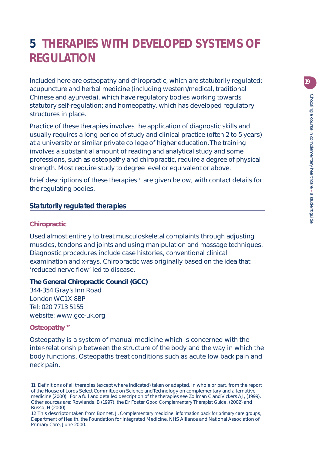# **5 THERAPIES WITH DEVELOPED SYSTEMS OF REGULATION**

Included here are osteopathy and chiropractic, which are statutorily regulated; acupuncture and herbal medicine (including western/medical, traditional Chinese and ayurveda), which have regulatory bodies working towards statutory self-regulation; and homeopathy, which has developed regulatory structures in place.

Practice of these therapies involves the application of diagnostic skills and usually requires a long period of study and clinical practice (often 2 to 5 years) at a university or similar private college of higher education. The training involves a substantial amount of reading and analytical study and some professions, such as osteopathy and chiropractic, require a degree of physical strength. Most require study to degree level or equivalent or above.

Brief descriptions of these therapies<sup> $11$ </sup> are given below, with contact details for the regulating bodies.

## **Statutorily regulated therapies**

#### **Chiropractic**

Used almost entirely to treat musculoskeletal complaints through adjusting muscles, tendons and joints and using manipulation and massage techniques. Diagnostic procedures include case histories, conventional clinical examination and x-rays. Chiropractic was originally based on the idea that 'reduced nerve flow' led to disease.

#### **The General Chiropractic Council (GCC)**

344-354 Gray's Inn Road London WC1X 8BP Tel: 020 7713 5155 website: www.gcc-uk.org

## **Osteopathy 12**

Osteopathy is a system of manual medicine which is concerned with the inter-relationship between the structure of the body and the way in which the body functions. Osteopaths treat conditions such as acute low back pain and neck pain.

<sup>11</sup> Definitions of all therapies (except where indicated) taken or adapted, in whole or part, from the report of the House of Lords Select Committee on Science and Technology on complementary and alternative medicine (2000). For a full and detailed description of the therapies see Zollman C and Vickers AJ, (1999). Other sources are: Rowlands, B (1997), the Dr Foster *Good Complementary Therapist Guide*, (2002) and Russo, H (2000).

<sup>12</sup> This descriptor taken from Bonnet, J. *Complementary medicine: information pack for primary care groups*, Department of Health, the Foundation for Integrated Medicine, NHS Alliance and National Association of Primary Care, June 2000.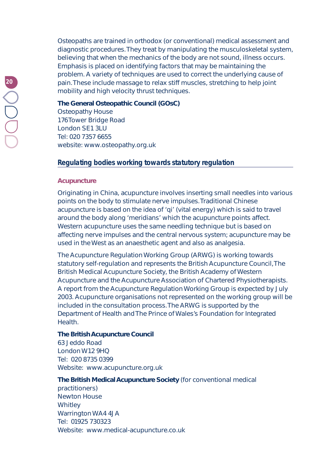Osteopaths are trained in orthodox (or conventional) medical assessment and diagnostic procedures. They treat by manipulating the musculoskeletal system, believing that when the mechanics of the body are not sound, illness occurs. Emphasis is placed on identifying factors that may be maintaining the problem. A variety of techniques are used to correct the underlying cause of pain. These include massage to relax stiff muscles, stretching to help joint mobility and high velocity thrust techniques.

## **The General Osteopathic Council (GOsC)**

Osteopathy House 176 Tower Bridge Road London SE1 3LU Tel: 020 7357 6655 website: www.osteopathy.org.uk

# **Regulating bodies working towards statutory regulation**

## **Acupuncture**

Originating in China, acupuncture involves inserting small needles into various points on the body to stimulate nerve impulses. Traditional Chinese acupuncture is based on the idea of 'qi' (vital energy) which is said to travel around the body along 'meridians' which the acupuncture points affect. Western acupuncture uses the same needling technique but is based on affecting nerve impulses and the central nervous system; acupuncture may be used in the West as an anaesthetic agent and also as analgesia.

The Acupuncture Regulation Working Group (ARWG) is working towards statutory self-regulation and represents the British Acupuncture Council, The British Medical Acupuncture Society, the British Academy of Western Acupuncture and the Acupuncture Association of Chartered Physiotherapists. A report from the Acupuncture Regulation Working Group is expected by July 2003. Acupuncture organisations not represented on the working group will be included in the consultation process. The ARWG is supported by the Department of Health andThe Prince of Wales's Foundation for Integrated Health.

## **The British Acupuncture Council**

63 Jeddo Road London W12 9HQ Tel: 020 8735 0399 Website: www.acupuncture.org.uk

## **The British Medical Acupuncture Society** (for conventional medical

practitioners) Newton House **Whitley** Warrington WA4 4JA Tel: 01925 730323 Website: www.medical-acupuncture.co.uk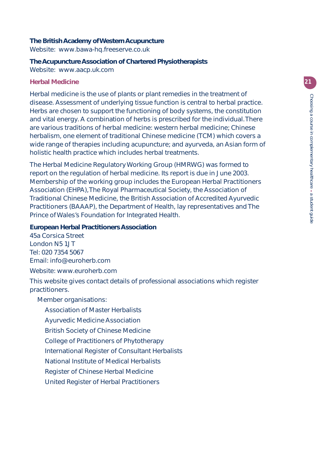## **The British Academy of Western Acupuncture**

Website: www.bawa-hq.freeserve.co.uk

# **The Acupuncture Association of Chartered Physiotherapists**

Website: www.aacp.uk.com

#### **Herbal Medicine**

Herbal medicine is the use of plants or plant remedies in the treatment of disease. Assessment of underlying tissue function is central to herbal practice. Herbs are chosen to support the functioning of body systems, the constitution and vital energy. A combination of herbs is prescribed for the individual. There are various traditions of herbal medicine: western herbal medicine; Chinese herbalism, one element of traditional Chinese medicine (TCM) which covers a wide range of therapies including acupuncture; and ayurveda, an Asian form of holistic health practice which includes herbal treatments.

The Herbal Medicine Regulatory Working Group (HMRWG) was formed to report on the regulation of herbal medicine. Its report is due in June 2003. Membership of the working group includes the European Herbal Practitioners Association (EHPA), The Royal Pharmaceutical Society, the Association of Traditional Chinese Medicine, the British Association of Accredited Ayurvedic Practitioners (BAAAP), the Department of Health, lay representatives and The Prince of Wales's Foundation for Integrated Health.

#### **European Herbal Practitioners Association**

45a Corsica Street London N5 1JT Tel: 020 7354 5067 Email: info@euroherb.com

Website: www.euroherb.com

This website gives contact details of professional associations which register practitioners.

Member organisations:

- Association of Master Herbalists
- Ayurvedic Medicine Association
- British Society of Chinese Medicine
- College of Practitioners of Phytotherapy
- International Register of Consultant Herbalists
- National Institute of Medical Herbalists
- Register of Chinese Herbal Medicine
- United Register of Herbal Practitioners

**21**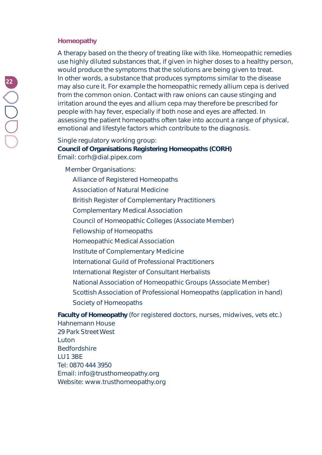#### **Homeopathy**

A therapy based on the theory of treating like with like. Homeopathic remedies use highly diluted substances that, if given in higher doses to a healthy person, would produce the symptoms that the solutions are being given to treat. In other words, a substance that produces symptoms similar to the disease may also cure it. For example the homeopathic remedy allium cepa is derived from the common onion. Contact with raw onions can cause stinging and irritation around the eyes and allium cepa may therefore be prescribed for people with hay fever, especially if both nose and eyes are affected. In assessing the patient homeopaths often take into account a range of physical, emotional and lifestyle factors which contribute to the diagnosis.

#### Single regulatory working group:

## **Council of Organisations Registering Homeopaths (CORH)** Email: corh@dial.pipex.com

Member Organisations:

- Alliance of Registered Homeopaths Association of Natural Medicine
- British Register of Complementary Practitioners
- Complementary Medical Association
- Council of Homeopathic Colleges (Associate Member)
- Fellowship of Homeopaths
- Homeopathic Medical Association
- Institute of Complementary Medicine
- International Guild of Professional Practitioners
- International Register of Consultant Herbalists
- National Association of Homeopathic Groups (Associate Member)
- Scottish Association of Professional Homeopaths (application in hand) Society of Homeopaths

**Faculty of Homeopathy** (for registered doctors, nurses, midwives, vets etc.) Hahnemann House 29 Park Street West Luton Bedfordshire LU1 3BE Tel: 0870 444 3950 Email: info@trusthomeopathy.org Website: www.trusthomeopathy.org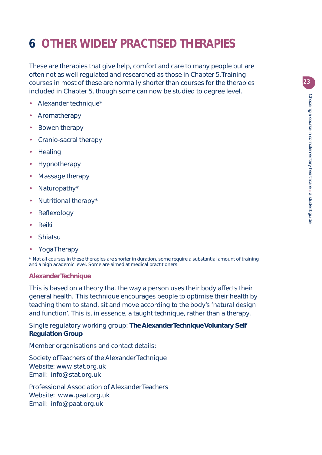# **6 OTHER WIDELY PRACTISED THERAPIES**

These are therapies that give help, comfort and care to many people but are often not as well regulated and researched as those in Chapter 5. Training courses in most of these are normally shorter than courses for the therapies included in Chapter 5, though some can now be studied to degree level.

- Alexander technique\*
- Aromatherapy
- Bowen therapy
- Cranio-sacral therapy
- Healing
- Hypnotherapy
- Massage therapy
- Naturopathy\*
- Nutritional therapy\*
- **Reflexology**
- Reiki
- **Shiatsu**
- Yoga Therapy

\* Not all courses in these therapies are shorter in duration, some require a substantial amount of training and a high academic level. Some are aimed at medical practitioners.

#### **Alexander Technique**

This is based on a theory that the way a person uses their body affects their general health. This technique encourages people to optimise their health by teaching them to stand, sit and move according to the body's 'natural design and function'. This is, in essence, a taught technique, rather than a therapy.

Single regulatory working group: **The Alexander Technique Voluntary Self Regulation Group**

Member organisations and contact details:

Society of Teachers of the Alexander Technique Website: www.stat.org.uk Email: info@stat.org.uk

Professional Association of Alexander Teachers Website: www.paat.org.uk Email: info@paat.org.uk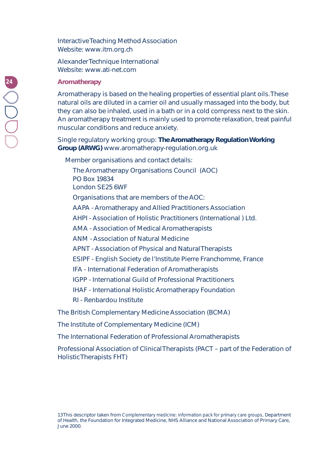Interactive Teaching Method Association Website: www.itm.org.ch

## Alexander Technique International Website: www.ati-net.com

## **Aromatherapy**

Aromatherapy is based on the healing properties of essential plant oils. These natural oils are diluted in a carrier oil and usually massaged into the body, but they can also be inhaled, used in a bath or in a cold compress next to the skin. An aromatherapy treatment is mainly used to promote relaxation, treat painful muscular conditions and reduce anxiety.

Single regulatory working group: **The Aromatherapy Regulation Working Group (ARWG)** www.aromatherapy-regulation.org.uk

Member organisations and contact details:

The Aromatherapy Organisations Council (AOC) PO Box 19834 London SE25 6WF Organisations that are members of the AOC: AAPA - Aromatherapy and Allied Practitioners Association AHPI - Association of Holistic Practitioners (International ) Ltd. AMA - Association of Medical Aromatherapists ANM - Association of Natural Medicine APNT - Association of Physical and Natural Therapists ESIPF - English Society de l'Institute Pierre Franchomme, France IFA - International Federation of Aromatherapists IGPP - International Guild of Professional Practitioners IHAF - International Holistic Aromatherapy Foundation RI - Renbardou Institute The British Complementary Medicine Association (BCMA)

The Institute of Complementary Medicine (ICM)

The International Federation of Professional Aromatherapists

Professional Association of Clinical Therapists (PACT – part of the Federation of Holistic Therapists FHT)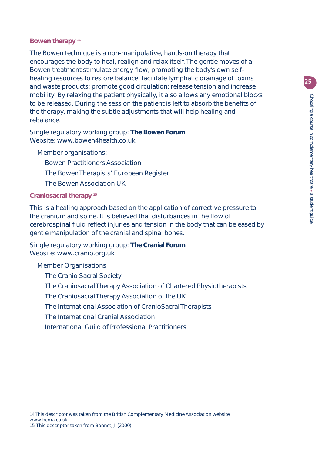## **Bowen therapy 14**

The Bowen technique is a non-manipulative, hands-on therapy that encourages the body to heal, realign and relax itself. The gentle moves of a Bowen treatment stimulate energy flow, promoting the body's own selfhealing resources to restore balance; facilitate lymphatic drainage of toxins and waste products; promote good circulation; release tension and increase mobility. By relaxing the patient physically, it also allows any emotional blocks to be released. During the session the patient is left to absorb the benefits of the therapy, making the subtle adjustments that will help healing and rebalance.

Single regulatory working group: **The Bowen Forum** Website: www.bowen4health.co.uk

Member organisations:

Bowen Practitioners Association

The Bowen Therapists' European Register

The Bowen Association UK

## **Craniosacral therapy 15**

This is a healing approach based on the application of corrective pressure to the cranium and spine. It is believed that disturbances in the flow of cerebrospinal fluid reflect injuries and tension in the body that can be eased by gentle manipulation of the cranial and spinal bones.

Single regulatory working group: **The Cranial Forum** Website: www.cranio.org.uk

## Member Organisations

The Cranio Sacral Society

The Craniosacral Therapy Association of Chartered Physiotherapists

The Craniosacral Therapy Association of the UK

The International Association of CranioSacral Therapists

The International Cranial Association

International Guild of Professional Practitioners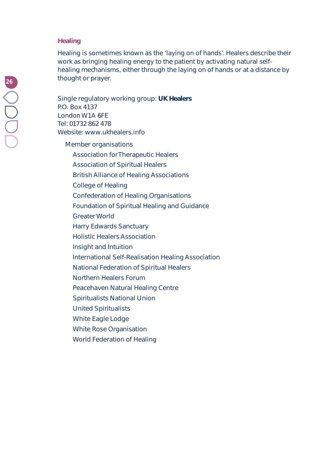#### **Healing**

Healing is sometimes known as the 'laying on of hands'. Healers describe their work as bringing healing energy to the patient by activating natural selfhealing mechanisms, either through the laying on of hands or at a distance by thought or prayer.

Single regulatory working group: **UK Healers** P.O. Box 4137 London W1A 6FE Tel: 01732 862 478 Website: www.ukhealers.info

Member organisations

Association for Therapeutic Healers

Association of Spiritual Healers

British Alliance of Healing Associations

College of Healing

Confederation of Healing Organisations

Foundation of Spiritual Healing and Guidance

Greater World

Harry Edwards Sanctuary

Holistic Healers Association

Insight and Intuition

International Self-Realisation Healing Association

National Federation of Spiritual Healers

Northern Healers Forum

Peacehaven Natural Healing Centre

Spiritualists National Union

United Spiritualists

White Eagle Lodge

White Rose Organisation

World Federation of Healing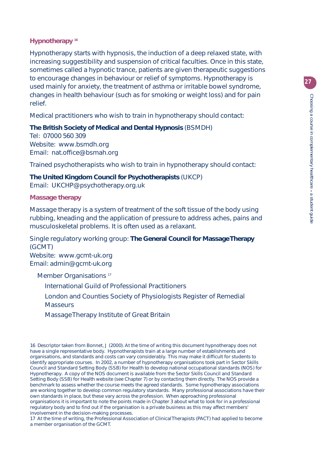## **Hypnotherapy 16**

Hypnotherapy starts with hypnosis, the induction of a deep relaxed state, with increasing suggestibility and suspension of critical faculties. Once in this state, sometimes called a hypnotic trance, patients are given therapeutic suggestions to encourage changes in behaviour or relief of symptoms. Hypnotherapy is used mainly for anxiety, the treatment of asthma or irritable bowel syndrome, changes in health behaviour (such as for smoking or weight loss) and for pain relief.

Medical practitioners who wish to train in hypnotherapy should contact:

## **The British Society of Medical and Dental Hypnosis** (BSMDH)

Tel: 07000 560 309 Website: www.bsmdh.org Email: nat.office@bsmah.org

Trained psychotherapists who wish to train in hypnotherapy should contact:

# **The United Kingdom Council for Psychotherapists** (UKCP) Email: UKCHP@psychotherapy.org.uk

**Massage therapy**

Massage therapy is a system of treatment of the soft tissue of the body using rubbing, kneading and the application of pressure to address aches, pains and musculoskeletal problems. It is often used as a relaxant.

Single regulatory working group: **The General Council for Massage Therapy** (GCMT) Website: www.gcmt-uk.org Email: admin@gcmt-uk.org

Member Organisations<sup>17</sup>

International Guild of Professional Practitioners

London and Counties Society of Physiologists Register of Remedial **Masseurs** 

Massage Therapy Institute of Great Britain

16 Descriptor taken from Bonnet, J (2000). At the time of writing this document hypnotherapy does not have a single representative body. Hypnotherapists train at a large number of establishments and organisations, and standards and costs can vary considerably. This may make it difficult for students to identify appropriate courses. In 2002, a number of hypnotherapy organisations took part in Sector Skills Council and Standard Setting Body (SSB) for Health to develop national occupational standards (NOS) for Hypnotherapy. A copy of the NOS document is available from the Sector Skills Council and Standard Setting Body (SSB) for Health website (see Chapter 7) or by contacting them directly. The NOS provide a benchmark to assess whether the course meets the agreed standards. Some hypnotherapy associations are working together to develop common regulatory standards. Many professional associations have their own standards in place, but these vary across the profession. When approaching professional organisations it is important to note the points made in Chapter 3 about what to look for in a professional regulatory body and to find out if the organisation is a private business as this may affect members' involvement in the decision-making processes.

17 At the time of writing, the Professional Association of Clinical Therapists (PACT) had applied to become a member organisation of the GCMT.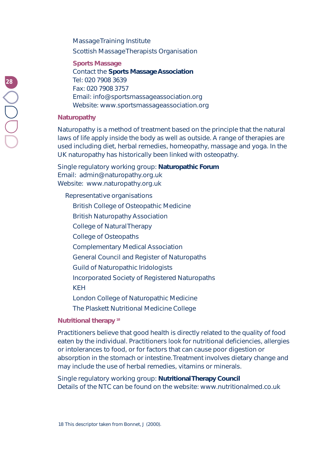Massage Training Institute Scottish Massage Therapists Organisation

**Sports Massage**

Contact the **Sports Massage Association** Tel: 020 7908 3639 Fax: 020 7908 3757 Email: info@sportsmassageassociation.org Website: www.sportsmassageassociation.org

## **Naturopathy**

Naturopathy is a method of treatment based on the principle that the natural laws of life apply inside the body as well as outside. A range of therapies are used including diet, herbal remedies, homeopathy, massage and yoga. In the UK naturopathy has historically been linked with osteopathy.

Single regulatory working group: **Naturopathic Forum** Email: admin@naturopathy.org.uk Website: www.naturopathy.org.uk

Representative organisations British College of Osteopathic Medicine British Naturopathy Association College of Natural Therapy College of Osteopaths Complementary Medical Association General Council and Register of Naturopaths Guild of Naturopathic Iridologists Incorporated Society of Registered Naturopaths KEH London College of Naturopathic Medicine The Plaskett Nutritional Medicine College

## **Nutritional therapy 18**

Practitioners believe that good health is directly related to the quality of food eaten by the individual. Practitioners look for nutritional deficiencies, allergies or intolerances to food, or for factors that can cause poor digestion or absorption in the stomach or intestine. Treatment involves dietary change and may include the use of herbal remedies, vitamins or minerals.

Single regulatory working group: **Nutritional Therapy Council** Details of the NTC can be found on the website: www.nutritionalmed.co.uk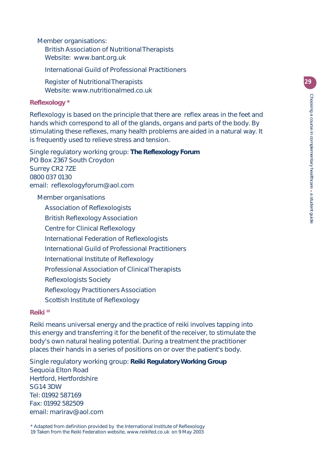Member organisations:

British Association of Nutritional Therapists Website: www.bant.org.uk

International Guild of Professional Practitioners

Register of Nutritional Therapists Website: www.nutritionalmed.co.uk

**Reflexology \***

Reflexology is based on the principle that there are reflex areas in the feet and hands which correspond to all of the glands, organs and parts of the body. By stimulating these reflexes, many health problems are aided in a natural way. It is frequently used to relieve stress and tension.

Single regulatory working group: **The Reflexology Forum** PO Box 2367 South Croydon Surrey CR2 7ZE 0800 037 0130 email: reflexologyforum@aol.com

Member organisations

Association of Reflexologists British Reflexology Association Centre for Clinical Reflexology International Federation of Reflexologists International Guild of Professional Practitioners International Institute of Reflexology Professional Association of Clinical Therapists Reflexologists Society Reflexology Practitioners Association Scottish Institute of Reflexology

## **Reiki 19**

Reiki means universal energy and the practice of reiki involves tapping into this energy and transferring it for the benefit of the receiver, to stimulate the body's own natural healing potential. During a treatment the practitioner places their hands in a series of positions on or over the patient's body.

Single regulatory working group: **Reiki Regulatory Working Group** Sequoia Elton Road Hertford, Hertfordshire SG14 3DW Tel: 01992 587169 Fax: 01992 582509 email: marirav@aol.com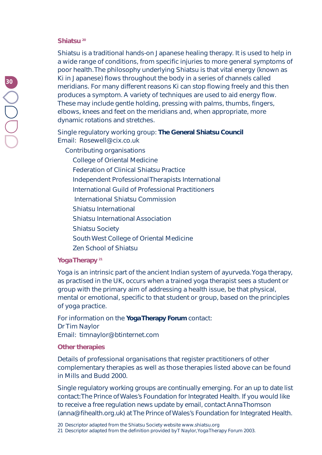### **Shiatsu 20**

Shiatsu is a traditional hands-on Japanese healing therapy. It is used to help in a wide range of conditions, from specific injuries to more general symptoms of poor health. The philosophy underlying Shiatsu is that vital energy (known as Ki in Japanese) flows throughout the body in a series of channels called meridians. For many different reasons Ki can stop flowing freely and this then produces a symptom. A variety of techniques are used to aid energy flow. These may include gentle holding, pressing with palms, thumbs, fingers, elbows, knees and feet on the meridians and, when appropriate, more dynamic rotations and stretches.

Single regulatory working group: **The General Shiatsu Council** Email: Rosewell@cix.co.uk

Contributing organisations

College of Oriental Medicine

- Federation of Clinical Shiatsu Practice
- Independent Professional Therapists International
- International Guild of Professional Practitioners
- International Shiatsu Commission
- Shiatsu International
- Shiatsu International Association
- Shiatsu Society
- South West College of Oriental Medicine
- Zen School of Shiatsu

## **Yoga Therapy 21**

Yoga is an intrinsic part of the ancient Indian system of ayurveda. Yoga therapy, as practised in the UK, occurs when a trained yoga therapist sees a student or group with the primary aim of addressing a health issue, be that physical, mental or emotional, specific to that student or group, based on the principles of yoga practice.

For information on the **Yoga Therapy Forum** contact: Dr Tim Naylor Email: timnaylor@btinternet.com

#### **Other therapies**

Details of professional organisations that register practitioners of other complementary therapies as well as those therapies listed above can be found in Mills and Budd 2000.

Single regulatory working groups are continually emerging. For an up to date list contact: The Prince of Wales's Foundation for Integrated Health. If you would like to receive a free regulation news update by email, contact Anna Thomson (anna@fihealth.org.uk) at The Prince of Wales's Foundation for Integrated Health.

<sup>20</sup> Descriptor adapted from the Shiatsu Society website www.shiatsu.org

<sup>21</sup> Descriptor adapted from the definition provided by T Naylor, Yoga Therapy Forum 2003.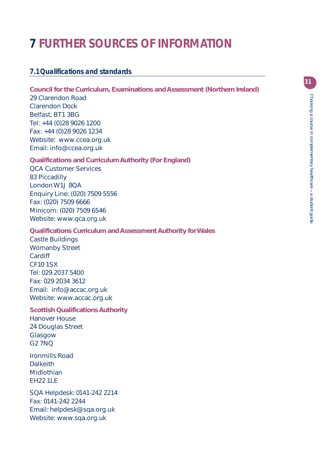# **7 FURTHER SOURCES OF INFORMATION**

# **7.1 Qualifications and standards**

## **Council for the Curriculum, Examinations and Assessment (Northern Ireland)**

29 Clarendon Road Clarendon Dock Belfast, BT1 3BG Tel: +44 (0)28 9026 1200 Fax: +44 (0)28 9026 1234 Website: www.ccea.org.uk Email: info@ccea.org.uk

**Qualifications and Curriculum Authority (For England)** QCA Customer Services 83 Piccadilly London W1J 8QA Enquiry Line: (020) 7509 5556 Fax: (020) 7509 6666 Minicom: (020) 7509 6546 Website: www.qca.org.uk

## **Qualifications Curriculum and Assessment Authority for Wales**

Castle Buildings Womanby Street Cardiff CF10 1SX Tel: 029 2037 5400 Fax: 029 2034 3612 Email: info@accac.org.uk Website: www.accac.org.uk

**Scottish Qualifications Authority** Hanover House 24 Douglas Street Glasgow G2 7NQ

Ironmills Road Dalkeith Midlothian EH22 1LE

SQA Helpdesk: 0141-242 2214 Fax: 0141-242 2244 Email: helpdesk@sqa.org.uk Website: www.sqa.org.uk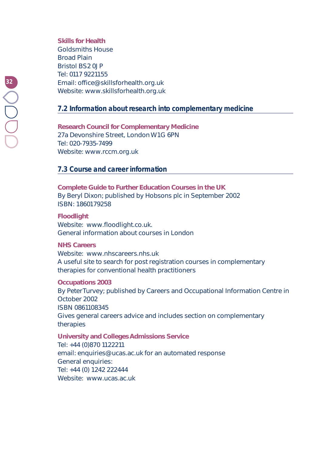**Skills for Health**  Goldsmiths House Broad Plain Bristol BS2 0JP Tel: 0117 9221155 Email: office@skillsforhealth.org.uk Website: www.skillsforhealth.org.uk

# **7.2 Information about research into complementary medicine**

**Research Council for Complementary Medicine** 27a Devonshire Street, London W1G 6PN Tel: 020-7935-7499 Website: www.rccm.org.uk

# **7.3 Course and career information**

**Complete Guide to Further Education Courses in the UK** By Beryl Dixon; published by Hobsons plc in September 2002 ISBN: 1860179258

**Floodlight**  Website: www.floodlight.co.uk. General information about courses in London

**NHS Careers** Website: www.nhscareers.nhs.uk A useful site to search for post registration courses in complementary therapies for conventional health practitioners

**Occupations 2003**  By Peter Turvey; published by Careers and Occupational Information Centre in October 2002 ISBN 0861108345 Gives general careers advice and includes section on complementary therapies

**University and Colleges Admissions Service** Tel: +44 (0)870 1122211 email: enquiries@ucas.ac.uk for an automated response General enquiries: Tel: +44 (0) 1242 222444 Website: www.ucas.ac.uk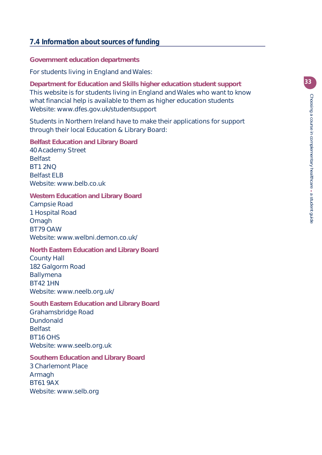## **7.4 Information about sources of funding**

**Government education departments**

For students living in England and Wales:

**Department for Education and Skills higher education student support**  This website is for students living in England and Wales who want to know what financial help is available to them as higher education students Website: www.dfes.gov.uk/studentsupport

Students in Northern Ireland have to make their applications for support through their local Education & Library Board:

**Belfast Education and Library Board** 40 Academy Street Belfast BT1 2NQ Belfast ELB Website: www.belb.co.uk

#### **Western Education and Library Board**

Campsie Road 1 Hospital Road **Omagh** BT79 OAW Website: www.welbni.demon.co.uk/

## **North Eastern Education and Library Board**

County Hall 182 Galgorm Road Ballymena BT42 1HN Website: www.neelb.org.uk/

#### **South Eastern Education and Library Board**

Grahamsbridge Road Dundonald Belfast BT16 OHS Website: www.seelb.org.uk

**Southern Education and Library Board** 3 Charlemont Place Armagh BT61 9AX Website: www.selb.org

**33**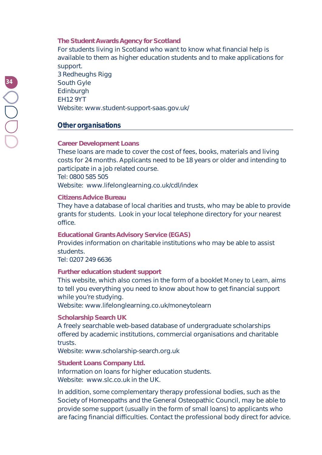#### **The Student Awards Agency for Scotland**

For students living in Scotland who want to know what financial help is available to them as higher education students and to make applications for support.

3 Redheughs Rigg South Gyle Edinburgh EH12 9YT Website: www.student-support-saas.gov.uk/

## **Other organisations**

#### **Career Development Loans**

These loans are made to cover the cost of fees, books, materials and living costs for 24 months. Applicants need to be 18 years or older and intending to participate in a job related course. Tel: 0800 585 505 Website: www.lifelonglearning.co.uk/cdl/index

#### **Citizens Advice Bureau**

They have a database of local charities and trusts, who may be able to provide grants for students. Look in your local telephone directory for your nearest office.

#### **Educational Grants Advisory Service (EGAS)**

Provides information on charitable institutions who may be able to assist students.

Tel: 0207 249 6636

## **Further education student support**

This website, which also comes in the form of a booklet *Money to Learn*, aims to tell you everything you need to know about how to get financial support while you're studying.

Website: www.lifelonglearning.co.uk/moneytolearn

## **Scholarship Search UK**

A freely searchable web-based database of undergraduate scholarships offered by academic institutions, commercial organisations and charitable trusts.

Website: www.scholarship-search.org.uk

**Student Loans Company Ltd.**

Information on loans for higher education students. Website: www.slc.co.uk in the UK.

In addition, some complementary therapy professional bodies, such as the Society of Homeopaths and the General Osteopathic Council, may be able to provide some support (usually in the form of small loans) to applicants who are facing financial difficulties. Contact the professional body direct for advice.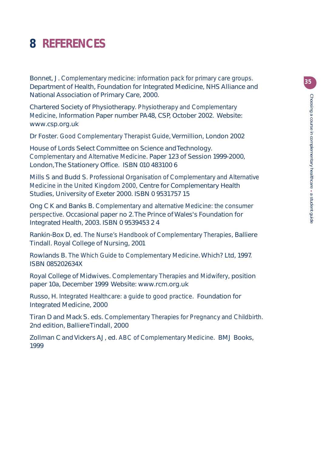# **8 REFERENCES**

Bonnet, J. *Complementary medicine: information pack for primary care groups.* Department of Health, Foundation for Integrated Medicine, NHS Alliance and National Association of Primary Care, 2000.

Chartered Society of Physiotherapy. *Physiotherapy and Complementary Medicine,* Information Paper number PA48, CSP, October 2002. Website: www.csp.org.uk

Dr Foster. *Good Complementary Therapist Guide*, Vermillion, London 2002

House of Lords Select Committee on Science and Technology. *Complementary and Alternative Medicine*. Paper 123 of Session 1999-2000, London, The Stationery Office. ISBN 010 483100 6

Mills S and Budd S. *Professional Organisation of Complementary and Alternative Medicine in the United Kingdom 2000,* Centre for Complementary Health Studies, University of Exeter 2000. ISBN 0 9531757 15

Ong C K and Banks B. *Complementary and alternative Medicine: the consumer perspective.* Occasional paper no 2. The Prince of Wales's Foundation for Integrated Health, 2003. ISBN 0 9539453 2 4

Rankin-Box D, ed. *The Nurse's Handbook of Complementary Therapies*, Balliere Tindall. Royal College of Nursing, 2001

Rowlands B. *The Which Guide to Complementary Medicine*. Which? Ltd, 1997. ISBN 085202634X

Royal College of Midwives. *Complementary Therapies and Midwifery*, position paper 10a, December 1999 Website: www.rcm.org.uk

Russo, H. *Integrated Healthcare: a guide to good practice*. Foundation for Integrated Medicine, 2000

Tiran D and Mack S. eds. *Complementary Therapies for Pregnancy and Childbirth.* 2nd edition, Balliere Tindall, 2000

Zollman C and Vickers AJ, ed. *ABC of Complementary Medicine*. BMJ Books, 1999

**35**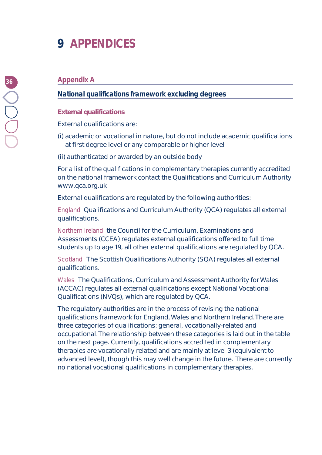# **9 APPENDICES**

# **National qualifications framework excluding degrees**

## **External qualifications**

External qualifications are:

- (i) academic or vocational in nature, but do not include academic qualifications at first degree level or any comparable or higher level
- (ii) authenticated or awarded by an outside body

For a list of the qualifications in complementary therapies currently accredited on the national framework contact the Qualifications and Curriculum Authority www.qca.org.uk

External qualifications are regulated by the following authorities:

*England* Qualifications and Curriculum Authority (QCA) regulates all external qualifications.

*Northern Ireland* the Council for the Curriculum, Examinations and Assessments (CCEA) regulates external qualifications offered to full time students up to age 19, all other external qualifications are regulated by QCA.

*Scotland* The Scottish Qualifications Authority (SQA) regulates all external qualifications.

*Wales* The Qualifications, Curriculum and Assessment Authority for Wales (ACCAC) regulates all external qualifications except National Vocational Qualifications (NVQs), which are regulated by QCA.

The regulatory authorities are in the process of revising the national qualifications framework for England, Wales and Northern Ireland. There are three categories of qualifications: general, vocationally-related and occupational. The relationship between these categories is laid out in the table on the next page. Currently, qualifications accredited in complementary therapies are vocationally related and are mainly at level 3 (equivalent to advanced level), though this may well change in the future. There are currently no national vocational qualifications in complementary therapies.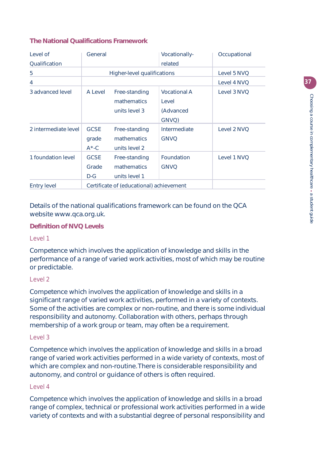|  | <b>The National Qualifications Framework</b> |  |
|--|----------------------------------------------|--|
|--|----------------------------------------------|--|

| Level of             | General                                  |                                               | Vocationally-                                      | Occupational |
|----------------------|------------------------------------------|-----------------------------------------------|----------------------------------------------------|--------------|
| Qualification        |                                          |                                               | related                                            |              |
| 5                    | Higher-level qualifications              |                                               |                                                    | Level 5 NVQ  |
| 4                    |                                          |                                               |                                                    | Level 4 NVQ  |
| 3 advanced level     | A Level                                  | Free-standing<br>mathematics<br>units level 3 | <b>Vocational A</b><br>Level<br>(Advanced<br>GNVQ) | Level 3 NVQ  |
| 2 intermediate level | <b>GCSE</b><br>grade<br>$A^{\star}$ -C   | Free-standing<br>mathematics<br>units level 2 | Intermediate<br><b>GNVQ</b>                        | Level 2 NVQ  |
| 1 foundation level   | <b>GCSE</b><br>Grade<br>$D-G$            | Free-standing<br>mathematics<br>units level 1 | Foundation<br><b>GNVQ</b>                          | Level 1 NVQ  |
| <b>Entry level</b>   | Certificate of (educational) achievement |                                               |                                                    |              |

Details of the national qualifications framework can be found on the QCA website www.qca.org.uk.

# **Definition of NVQ Levels**

## *Level 1*

Competence which involves the application of knowledge and skills in the performance of a range of varied work activities, most of which may be routine or predictable.

# *Level 2*

Competence which involves the application of knowledge and skills in a significant range of varied work activities, performed in a variety of contexts. Some of the activities are complex or non-routine, and there is some individual responsibility and autonomy. Collaboration with others, perhaps through membership of a work group or team, may often be a requirement.

## *Level 3*

Competence which involves the application of knowledge and skills in a broad range of varied work activities performed in a wide variety of contexts, most of which are complex and non-routine. There is considerable responsibility and autonomy, and control or guidance of others is often required.

# *Level 4*

Competence which involves the application of knowledge and skills in a broad range of complex, technical or professional work activities performed in a wide variety of contexts and with a substantial degree of personal responsibility and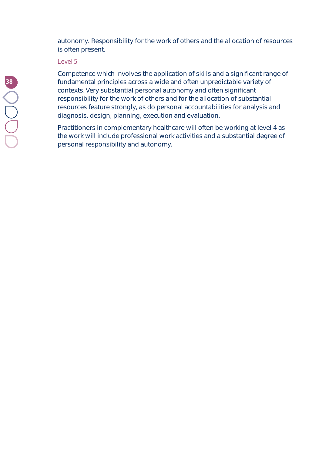autonomy. Responsibility for the work of others and the allocation of resources is often present.

#### *Level 5*

Competence which involves the application of skills and a significant range of fundamental principles across a wide and often unpredictable variety of contexts. Very substantial personal autonomy and often significant responsibility for the work of others and for the allocation of substantial resources feature strongly, as do personal accountabilities for analysis and diagnosis, design, planning, execution and evaluation.

Practitioners in complementary healthcare will often be working at level 4 as the work will include professional work activities and a substantial degree of personal responsibility and autonomy.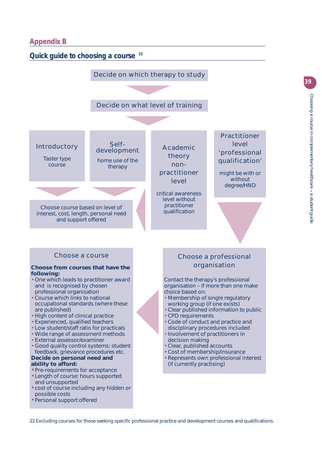# **Appendix B**



22 Excluding courses for those seeking specific professional practice and development courses and qualifications.

**39**